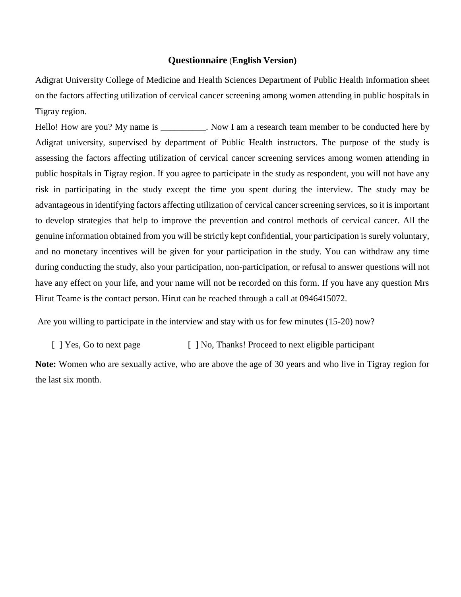#### **Questionnaire** (**English Version)**

Adigrat University College of Medicine and Health Sciences Department of Public Health information sheet on the factors affecting utilization of cervical cancer screening among women attending in public hospitals in Tigray region.

Hello! How are you? My name is \_\_\_\_\_\_\_\_\_\_. Now I am a research team member to be conducted here by Adigrat university, supervised by department of Public Health instructors. The purpose of the study is assessing the factors affecting utilization of cervical cancer screening services among women attending in public hospitals in Tigray region. If you agree to participate in the study as respondent, you will not have any risk in participating in the study except the time you spent during the interview. The study may be advantageous in identifying factors affecting utilization of cervical cancer screening services, so it is important to develop strategies that help to improve the prevention and control methods of cervical cancer. All the genuine information obtained from you will be strictly kept confidential, your participation is surely voluntary, and no monetary incentives will be given for your participation in the study. You can withdraw any time during conducting the study, also your participation, non-participation, or refusal to answer questions will not have any effect on your life, and your name will not be recorded on this form. If you have any question Mrs Hirut Teame is the contact person. Hirut can be reached through a call at 0946415072.

Are you willing to participate in the interview and stay with us for few minutes (15-20) now?

[ ] Yes, Go to next page [ ] No, Thanks! Proceed to next eligible participant

**Note:** Women who are sexually active, who are above the age of 30 years and who live in Tigray region for the last six month.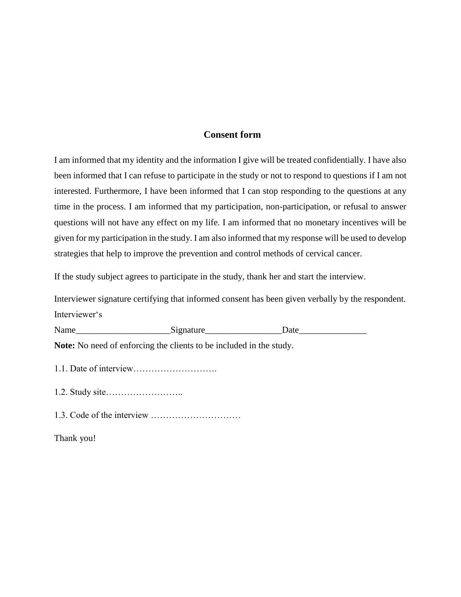### **Consent form**

I am informed that my identity and the information I give will be treated confidentially. I have also been informed that I can refuse to participate in the study or not to respond to questions if I am not interested. Furthermore, I have been informed that I can stop responding to the questions at any time in the process. I am informed that my participation, non-participation, or refusal to answer questions will not have any effect on my life. I am informed that no monetary incentives will be given for my participation in the study. I am also informed that my response will be used to develop strategies that help to improve the prevention and control methods of cervical cancer.

If the study subject agrees to participate in the study, thank her and start the interview.

Interviewer signature certifying that informed consent has been given verbally by the respondent. Interviewer's

Name\_\_\_\_\_\_\_\_\_\_\_\_\_\_\_\_\_\_\_\_\_Signature\_\_\_\_\_\_\_\_\_\_\_\_\_\_\_\_\_Date\_\_\_\_\_\_\_\_\_\_\_\_\_\_\_

**Note:** No need of enforcing the clients to be included in the study.

- 1.1. Date of interview……………………….
- 1.2. Study site……………………..
- 1.3. Code of the interview …………………………

Thank you!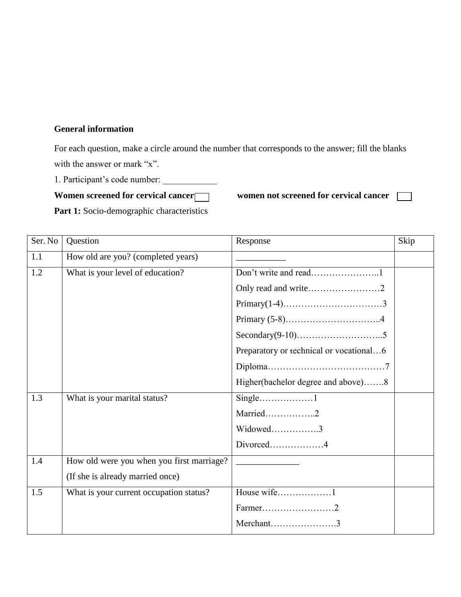#### **General information**

For each question, make a circle around the number that corresponds to the answer; fill the blanks with the answer or mark "x".

1. Participant's code number:

Women screened for cervical cancer women not screened for cervical cancer

| <b>Part 1:</b> Socio-demographic characteristics |
|--------------------------------------------------|
|--------------------------------------------------|

| Ser. No | Question                                  | Response                                | Skip |
|---------|-------------------------------------------|-----------------------------------------|------|
| 1.1     | How old are you? (completed years)        |                                         |      |
| 1.2     | What is your level of education?          |                                         |      |
|         |                                           |                                         |      |
|         |                                           |                                         |      |
|         |                                           |                                         |      |
|         |                                           |                                         |      |
|         |                                           | Preparatory or technical or vocational6 |      |
|         |                                           |                                         |      |
|         |                                           | Higher(bachelor degree and above)8      |      |
| 1.3     | What is your marital status?              |                                         |      |
|         |                                           | Married2                                |      |
|         |                                           | Widowed3                                |      |
|         |                                           | Divorced4                               |      |
| 1.4     | How old were you when you first marriage? |                                         |      |
|         | (If she is already married once)          |                                         |      |
| 1.5     | What is your current occupation status?   | House wife1                             |      |
|         |                                           |                                         |      |
|         |                                           | Merchant3                               |      |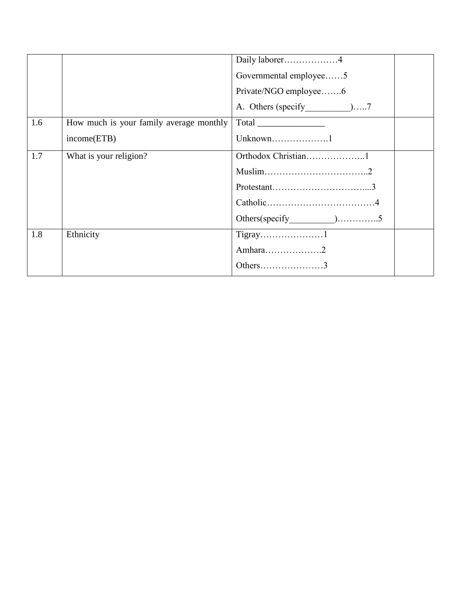|     |                                         | Daily laborer4         |
|-----|-----------------------------------------|------------------------|
|     |                                         | Governmental employee5 |
|     |                                         | Private/NGO employee6  |
|     |                                         |                        |
| 1.6 | How much is your family average monthly |                        |
|     | income(ETB)                             | Unknown1               |
| 1.7 | What is your religion?                  |                        |
|     |                                         |                        |
|     |                                         |                        |
|     |                                         |                        |
|     |                                         |                        |
| 1.8 | Ethnicity                               |                        |
|     |                                         | Amhara2                |
|     |                                         | Others3                |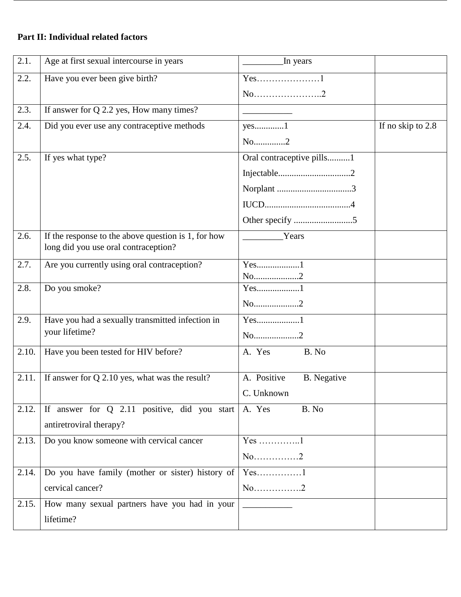### **Part II: Individual related factors**

| 2.1.  | Age at first sexual intercourse in years            | In years                          |                   |
|-------|-----------------------------------------------------|-----------------------------------|-------------------|
| 2.2.  | Have you ever been give birth?                      | $Yes.$ 1                          |                   |
|       |                                                     | $No$ 2                            |                   |
| 2.3.  | If answer for Q 2.2 yes, How many times?            |                                   |                   |
| 2.4.  | Did you ever use any contraceptive methods          | $yes$ 1                           | If no skip to 2.8 |
|       |                                                     | No2                               |                   |
| 2.5.  | If yes what type?                                   | Oral contraceptive pills1         |                   |
|       |                                                     |                                   |                   |
|       |                                                     | ${\bf Norplant}\,\,\,\,\,\,\,\,3$ |                   |
|       |                                                     |                                   |                   |
|       |                                                     |                                   |                   |
| 2.6.  | If the response to the above question is 1, for how | Years                             |                   |
|       | long did you use oral contraception?                |                                   |                   |
| 2.7.  | Are you currently using oral contraception?         | Yes1                              |                   |
| 2.8.  | Do you smoke?                                       | No2<br>Yes1                       |                   |
|       |                                                     | No2                               |                   |
| 2.9.  | Have you had a sexually transmitted infection in    | $Yes$ 1                           |                   |
|       | your lifetime?                                      | No2                               |                   |
|       |                                                     |                                   |                   |
| 2.10. | Have you been tested for HIV before?                | A. Yes<br>B. No                   |                   |
| 2.11. | If answer for $Q$ 2.10 yes, what was the result?    | A. Positive<br><b>B.</b> Negative |                   |
|       |                                                     | C. Unknown                        |                   |
| 2.12. | If answer for Q 2.11 positive, did you start        | A. Yes<br>B. No                   |                   |
|       | antiretroviral therapy?                             |                                   |                   |
| 2.13. | Do you know someone with cervical cancer            | $Yes$ 1                           |                   |
|       |                                                     | $No$ 2                            |                   |
| 2.14. | Do you have family (mother or sister) history of    | $Yes$ 1                           |                   |
|       | cervical cancer?                                    | $No$ 2                            |                   |
| 2.15. | How many sexual partners have you had in your       |                                   |                   |
|       | lifetime?                                           |                                   |                   |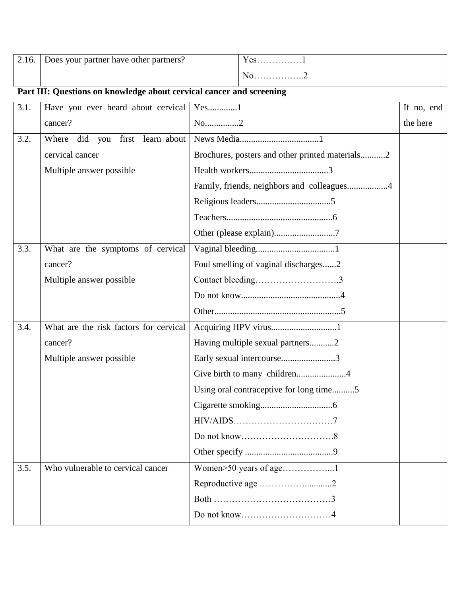| 2.16. | Does your partner have other partners? | $^{\prime}$ $\alpha$ c<br><b>UD</b> |  |
|-------|----------------------------------------|-------------------------------------|--|
|       |                                        | 10. 4                               |  |

## **Part III: Questions on knowledge about cervical cancer and screening**

| 3.1. | Have you ever heard about cervical     | $Yes.$ 1                                        | If no, end |
|------|----------------------------------------|-------------------------------------------------|------------|
|      | cancer?                                | No2                                             | the here   |
| 3.2. | first learn about<br>Where did<br>you  |                                                 |            |
|      | cervical cancer                        | Brochures, posters and other printed materials2 |            |
|      | Multiple answer possible               |                                                 |            |
|      |                                        | Family, friends, neighbors and colleagues4      |            |
|      |                                        |                                                 |            |
|      |                                        |                                                 |            |
|      |                                        | Other (please explain)7                         |            |
| 3.3. | What are the symptoms of cervical      |                                                 |            |
|      | cancer?                                | Foul smelling of vaginal discharges2            |            |
|      | Multiple answer possible               |                                                 |            |
|      |                                        |                                                 |            |
|      |                                        |                                                 |            |
| 3.4. | What are the risk factors for cervical | Acquiring HPV virus1                            |            |
|      | cancer?                                | Having multiple sexual partners2                |            |
|      | Multiple answer possible               | Early sexual intercourse3                       |            |
|      |                                        |                                                 |            |
|      |                                        | Using oral contraceptive for long time5         |            |
|      |                                        |                                                 |            |
|      |                                        |                                                 |            |
|      |                                        |                                                 |            |
|      |                                        |                                                 |            |
| 3.5. | Who vulnerable to cervical cancer      | Women>50 years of age1                          |            |
|      |                                        | Reproductive age 2                              |            |
|      |                                        |                                                 |            |
|      |                                        |                                                 |            |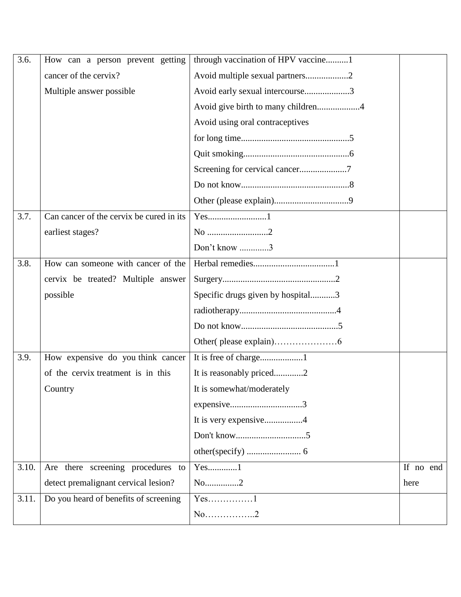| 3.6.  | How can a person prevent getting         | through vaccination of HPV vaccine1 |           |
|-------|------------------------------------------|-------------------------------------|-----------|
|       | cancer of the cervix?                    | Avoid multiple sexual partners2     |           |
|       | Multiple answer possible                 | Avoid early sexual intercourse3     |           |
|       |                                          | Avoid give birth to many children4  |           |
|       |                                          | Avoid using oral contraceptives     |           |
|       |                                          |                                     |           |
|       |                                          |                                     |           |
|       |                                          | Screening for cervical cancer7      |           |
|       |                                          |                                     |           |
|       |                                          |                                     |           |
| 3.7.  | Can cancer of the cervix be cured in its |                                     |           |
|       | earliest stages?                         | No 2                                |           |
|       |                                          | Don't know 3                        |           |
| 3.8.  | How can someone with cancer of the       |                                     |           |
|       | cervix be treated? Multiple answer       |                                     |           |
|       | possible                                 | Specific drugs given by hospital3   |           |
|       |                                          |                                     |           |
|       |                                          |                                     |           |
|       |                                          |                                     |           |
| 3.9.  | How expensive do you think cancer        |                                     |           |
|       | of the cervix treatment is in this       | It is reasonably priced2            |           |
|       | Country                                  | It is somewhat/moderately           |           |
|       |                                          |                                     |           |
|       |                                          | It is very expensive4               |           |
|       |                                          |                                     |           |
|       |                                          |                                     |           |
| 3.10. | Are there screening procedures to        | $Yes$ 1                             | If no end |
|       | detect premalignant cervical lesion?     | No2                                 | here      |
| 3.11. | Do you heard of benefits of screening    | $Yes$ 1                             |           |
|       |                                          | $No$ 2                              |           |
|       |                                          |                                     |           |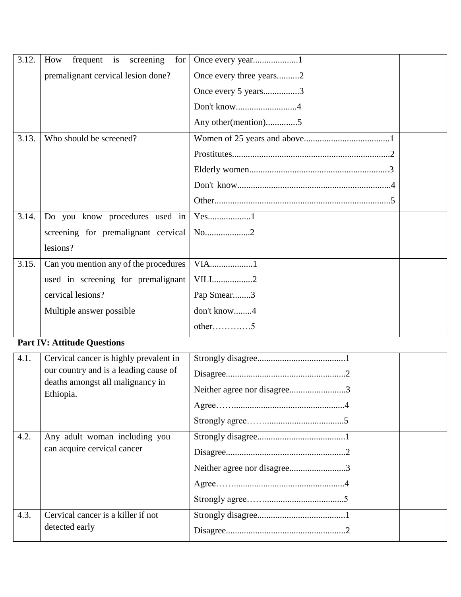| 3.12. | frequent is<br>screening<br>How<br>for |                         |  |
|-------|----------------------------------------|-------------------------|--|
|       | premalignant cervical lesion done?     | Once every three years2 |  |
|       |                                        | Once every 5 years3     |  |
|       |                                        | Don't know4             |  |
|       |                                        | Any other (mention)5    |  |
| 3.13. | Who should be screened?                |                         |  |
|       |                                        |                         |  |
|       |                                        |                         |  |
|       |                                        |                         |  |
|       |                                        |                         |  |
| 3.14. | Do you know procedures used in         |                         |  |
|       | screening for premalignant cervical    | No2                     |  |
|       | lesions?                               |                         |  |
| 3.15. | Can you mention any of the procedures  | VIA1                    |  |
|       | used in screening for premalignant     | VILI2                   |  |
|       | cervical lesions?                      | Pap Smear3              |  |
|       | Multiple answer possible               | don't know4             |  |
|       |                                        | $other$ 5               |  |

# **Part IV: Attitude Questions**

| 4.1. | Cervical cancer is highly prevalent in<br>our country and is a leading cause of<br>deaths amongst all malignancy in<br>Ethiopia. | Neither agree nor disagree3 |  |
|------|----------------------------------------------------------------------------------------------------------------------------------|-----------------------------|--|
| 4.2. | Any adult woman including you<br>can acquire cervical cancer                                                                     | Neither agree nor disagree3 |  |
| 4.3. | Cervical cancer is a killer if not<br>detected early                                                                             |                             |  |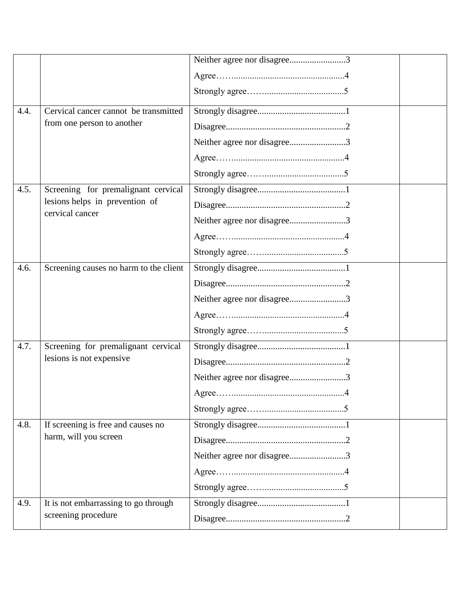|      |                                        | Neither agree nor disagree3 |
|------|----------------------------------------|-----------------------------|
|      |                                        |                             |
|      |                                        |                             |
| 4.4. | Cervical cancer cannot be transmitted  |                             |
|      | from one person to another             |                             |
|      |                                        | Neither agree nor disagree3 |
|      |                                        |                             |
|      |                                        |                             |
| 4.5. | Screening for premalignant cervical    |                             |
|      | lesions helps in prevention of         |                             |
|      | cervical cancer                        | Neither agree nor disagree3 |
|      |                                        |                             |
|      |                                        |                             |
| 4.6. | Screening causes no harm to the client |                             |
|      |                                        |                             |
|      |                                        | Neither agree nor disagree3 |
|      |                                        |                             |
|      |                                        |                             |
| 4.7. | Screening for premalignant cervical    |                             |
|      | lesions is not expensive               |                             |
|      |                                        | Neither agree nor disagree3 |
|      |                                        |                             |
|      |                                        |                             |
| 4.8. | If screening is free and causes no     |                             |
|      | harm, will you screen                  |                             |
|      |                                        | Neither agree nor disagree3 |
|      |                                        |                             |
|      |                                        |                             |
| 4.9. | It is not embarrassing to go through   |                             |
|      | screening procedure                    |                             |
|      |                                        |                             |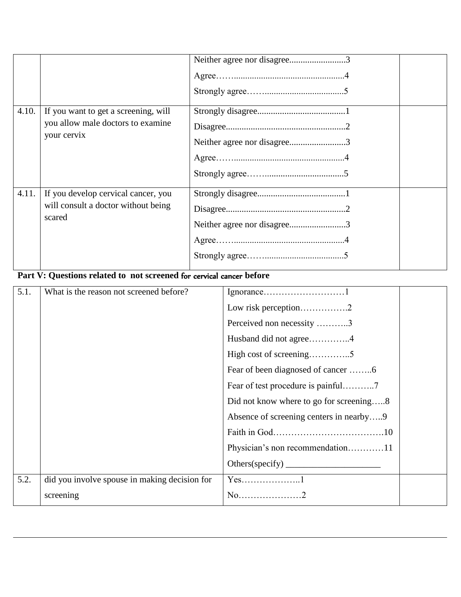| 4.10. | If you want to get a screening, will                                                 | Neither agree nor disagree3 |  |
|-------|--------------------------------------------------------------------------------------|-----------------------------|--|
|       | you allow male doctors to examine<br>your cervix                                     | Neither agree nor disagree3 |  |
| 4.11. | If you develop cervical cancer, you<br>will consult a doctor without being<br>scared | Neither agree nor disagree3 |  |

### **Part V: Questions related to not screened** for cervical cancer **before**

| 5.1. | What is the reason not screened before?       |                                         |  |
|------|-----------------------------------------------|-----------------------------------------|--|
|      |                                               | Low risk perception2                    |  |
|      |                                               | Perceived non necessity 3               |  |
|      |                                               | Husband did not agree4                  |  |
|      |                                               |                                         |  |
|      |                                               |                                         |  |
|      |                                               |                                         |  |
|      |                                               | Did not know where to go for screening8 |  |
|      |                                               | Absence of screening centers in nearby9 |  |
|      |                                               |                                         |  |
|      |                                               | Physician's non recommendation11        |  |
|      |                                               |                                         |  |
| 5.2. | did you involve spouse in making decision for | $Yes$ 1                                 |  |
|      | screening                                     | $No$ 2                                  |  |